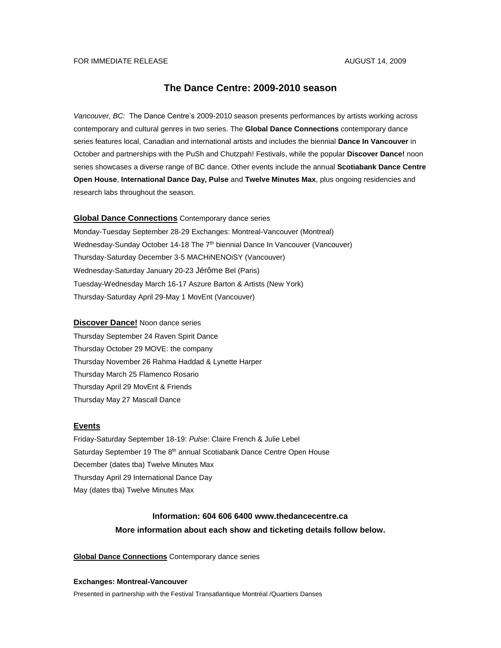# FOR IMMEDIATE RELEASE AUGUST 14, 2009

# **The Dance Centre: 2009-2010 season**

*Vancouver, BC:* The Dance Centre's 2009-2010 season presents performances by artists working across contemporary and cultural genres in two series. The **Global Dance Connections** contemporary dance series features local, Canadian and international artists and includes the biennial **Dance In Vancouver** in October and partnerships with the PuSh and Chutzpah! Festivals, while the popular **Discover Dance!** noon series showcases a diverse range of BC dance. Other events include the annual **Scotiabank Dance Centre Open House**, **International Dance Day, Pulse** and **Twelve Minutes Max**, plus ongoing residencies and research labs throughout the season.

**Global Dance Connections** Contemporary dance series

Monday-Tuesday September 28-29 Exchanges: Montreal-Vancouver (Montreal) Wednesday-Sunday October 14-18 The 7<sup>th</sup> biennial Dance In Vancouver (Vancouver) Thursday-Saturday December 3-5 MACHiNENOiSY (Vancouver) Wednesday-Saturday January 20-23 Jérôme Bel (Paris) Tuesday-Wednesday March 16-17 Aszure Barton & Artists (New York) Thursday-Saturday April 29-May 1 MovEnt (Vancouver)

# **Discover Dance!** Noon dance series

Thursday September 24 Raven Spirit Dance Thursday October 29 MOVE: the company Thursday November 26 Rahma Haddad & Lynette Harper Thursday March 25 Flamenco Rosario Thursday April 29 MovEnt & Friends Thursday May 27 Mascall Dance

## **Events**

Friday-Saturday September 18-19: *Pulse*: Claire French & Julie Lebel Saturday September 19 The 8<sup>th</sup> annual Scotiabank Dance Centre Open House December (dates tba) Twelve Minutes Max Thursday April 29 International Dance Day May (dates tba) Twelve Minutes Max

# **Information: 604 606 6400 www.thedancecentre.ca More information about each show and ticketing details follow below.**

# **Global Dance Connections** Contemporary dance series

## **Exchanges: Montreal-Vancouver**

Presented in partnership with the Festival Transatlantique Montréal /Quartiers Danses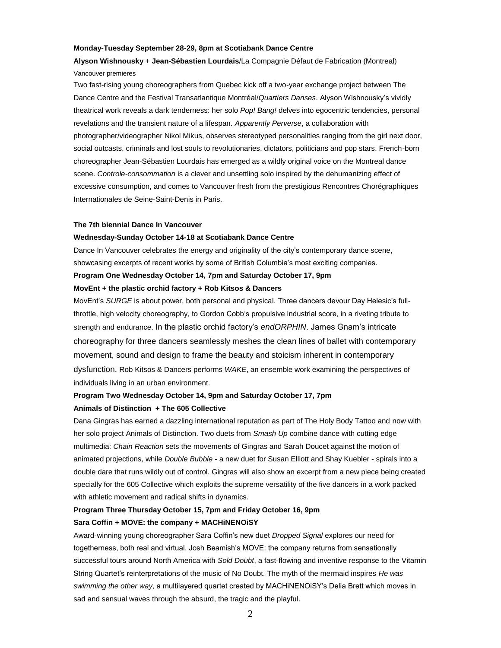## **Monday-Tuesday September 28-29, 8pm at Scotiabank Dance Centre**

# **Alyson Wishnousky** + **Jean-Sébastien Lourdais**/La Compagnie Défaut de Fabrication (Montreal) Vancouver premieres

Two fast-rising young choreographers from Quebec kick off a two-year exchange project between The Dance Centre and the Festival Transatlantique Montréal/*Quartiers Danses*. Alyson Wishnousky's vividly theatrical work reveals a dark tenderness: her solo *Pop! Bang!* delves into egocentric tendencies, personal revelations and the transient nature of a lifespan. *Apparently Perverse*, a collaboration with photographer/videographer Nikol Mikus, observes stereotyped personalities ranging from the girl next door, social outcasts, criminals and lost souls to revolutionaries, dictators, politicians and pop stars. French-born choreographer Jean-Sébastien Lourdais has emerged as a wildly original voice on the Montreal dance scene. *Controle-consommation* is a clever and unsettling solo inspired by the dehumanizing effect of excessive consumption, and comes to Vancouver fresh from the prestigious Rencontres Chorégraphiques Internationales de Seine-Saint-Denis in Paris.

### **The 7th biennial Dance In Vancouver**

## **Wednesday-Sunday October 14-18 at Scotiabank Dance Centre**

Dance In Vancouver celebrates the energy and originality of the city's contemporary dance scene, showcasing excerpts of recent works by some of British Columbia's most exciting companies. **Program One Wednesday October 14, 7pm and Saturday October 17, 9pm**

# **MovEnt + the plastic orchid factory + Rob Kitsos & Dancers**

MovEnt's *SURGE* is about power, both personal and physical. Three dancers devour Day Helesic's fullthrottle, high velocity choreography, to Gordon Cobb's propulsive industrial score, in a riveting tribute to strength and endurance. In the plastic orchid factory's *endORPHIN*. James Gnam's intricate choreography for three dancers seamlessly meshes the clean lines of ballet with contemporary movement, sound and design to frame the beauty and stoicism inherent in contemporary dysfunction. Rob Kitsos & Dancers performs *WAKE*, an ensemble work examining the perspectives of individuals living in an urban environment.

# **Program Two Wednesday October 14, 9pm and Saturday October 17, 7pm Animals of Distinction + The 605 Collective**

Dana Gingras has earned a dazzling international reputation as part of The Holy Body Tattoo and now with her solo project Animals of Distinction. Two duets from *Smash Up* combine dance with cutting edge multimedia: *Chain Reaction* sets the movements of Gingras and Sarah Doucet against the motion of animated projections, while *Double Bubble* - a new duet for Susan Elliott and Shay Kuebler - spirals into a double dare that runs wildly out of control. Gingras will also show an excerpt from a new piece being created specially for the 605 Collective which exploits the supreme versatility of the five dancers in a work packed with athletic movement and radical shifts in dynamics.

# **Program Three Thursday October 15, 7pm and Friday October 16, 9pm Sara Coffin + MOVE: the company + MACHiNENOiSY**

Award-winning young choreographer Sara Coffin's new duet *Dropped Signal* explores our need for togetherness, both real and virtual. Josh Beamish's MOVE: the company returns from sensationally successful tours around North America with *Sold Doubt*, a fast-flowing and inventive response to the Vitamin String Quartet's reinterpretations of the music of No Doubt. The myth of the mermaid inspires *He was swimming the other way*, a multilayered quartet created by MACHiNENOiSY's Delia Brett which moves in sad and sensual waves through the absurd, the tragic and the playful.

 $\mathfrak{D}$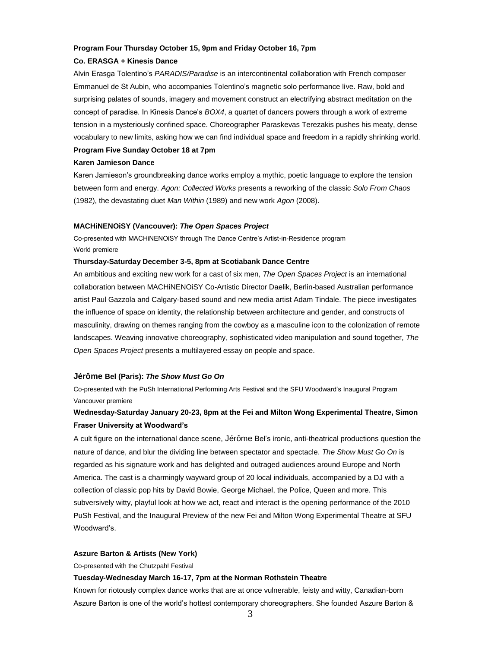# **Program Four Thursday October 15, 9pm and Friday October 16, 7pm**

# **Co. ERASGA + Kinesis Dance**

Alvin Erasga Tolentino's *PARADIS/Paradise* is an intercontinental collaboration with French composer Emmanuel de St Aubin, who accompanies Tolentino's magnetic solo performance live. Raw, bold and surprising palates of sounds, imagery and movement construct an electrifying abstract meditation on the concept of paradise. In Kinesis Dance's *BOX4*, a quartet of dancers powers through a work of extreme tension in a mysteriously confined space. Choreographer Paraskevas Terezakis pushes his meaty, dense vocabulary to new limits, asking how we can find individual space and freedom in a rapidly shrinking world.

# **Program Five Sunday October 18 at 7pm**

# **Karen Jamieson Dance**

Karen Jamieson's groundbreaking dance works employ a mythic, poetic language to explore the tension between form and energy. *Agon: Collected Works* presents a reworking of the classic *Solo From Chaos* (1982), the devastating duet *Man Within* (1989) and new work *Agon* (2008).

# **MACHiNENOiSY (Vancouver):** *The Open Spaces Project*

Co-presented with MACHiNENOiSY through The Dance Centre's Artist-in-Residence program World premiere

# **Thursday-Saturday December 3-5, 8pm at Scotiabank Dance Centre**

An ambitious and exciting new work for a cast of six men, *The Open Spaces Project* is an international collaboration between MACHiNENOiSY Co-Artistic Director Daelik, Berlin-based Australian performance artist Paul Gazzola and Calgary-based sound and new media artist Adam Tindale. The piece investigates the influence of space on identity, the relationship between architecture and gender, and constructs of masculinity, drawing on themes ranging from the cowboy as a masculine icon to the colonization of remote landscapes. Weaving innovative choreography, sophisticated video manipulation and sound together, *The Open Spaces Project* presents a multilayered essay on people and space.

# **Jérôme Bel (Paris):** *The Show Must Go On*

Co-presented with the PuSh International Performing Arts Festival and the SFU Woodward's Inaugural Program Vancouver premiere

# **Wednesday-Saturday January 20-23, 8pm at the Fei and Milton Wong Experimental Theatre, Simon Fraser University at Woodward's**

A cult figure on the international dance scene, Jérôme Bel's ironic, anti-theatrical productions question the nature of dance, and blur the dividing line between spectator and spectacle. *The Show Must Go On* is regarded as his signature work and has delighted and outraged audiences around Europe and North America. The cast is a charmingly wayward group of 20 local individuals, accompanied by a DJ with a collection of classic pop hits by David Bowie, George Michael, the Police, Queen and more. This subversively witty, playful look at how we act, react and interact is the opening performance of the 2010 PuSh Festival, and the Inaugural Preview of the new Fei and Milton Wong Experimental Theatre at SFU Woodward's.

## **Aszure Barton & Artists (New York)**

Co-presented with the Chutzpah! Festival

# **Tuesday-Wednesday March 16-17, 7pm at the Norman Rothstein Theatre**

Known for riotously complex dance works that are at once vulnerable, feisty and witty, Canadian-born Aszure Barton is one of the world's hottest contemporary choreographers. She founded Aszure Barton &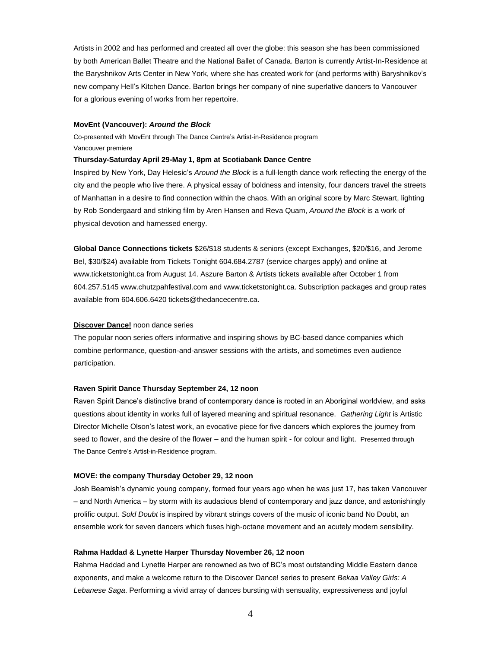Artists in 2002 and has performed and created all over the globe: this season she has been commissioned by both American Ballet Theatre and the National Ballet of Canada. Barton is currently Artist-In-Residence at the Baryshnikov Arts Center in New York, where she has created work for (and performs with) Baryshnikov's new company Hell's Kitchen Dance. Barton brings her company of nine superlative dancers to Vancouver for a glorious evening of works from her repertoire.

#### **MovEnt (Vancouver):** *Around the Block*

Co-presented with MovEnt through The Dance Centre's Artist-in-Residence program Vancouver premiere

# **Thursday-Saturday April 29-May 1, 8pm at Scotiabank Dance Centre**

Inspired by New York, Day Helesic's *Around the Block* is a full-length dance work reflecting the energy of the city and the people who live there. A physical essay of boldness and intensity, four dancers travel the streets of Manhattan in a desire to find connection within the chaos. With an original score by Marc Stewart, lighting by Rob Sondergaard and striking film by Aren Hansen and Reva Quam, *Around the Block* is a work of physical devotion and harnessed energy.

**Global Dance Connections tickets** \$26/\$18 students & seniors (except Exchanges, \$20/\$16, and Jerome Bel, \$30/\$24) available from Tickets Tonight 604.684.2787 (service charges apply) and online at www.ticketstonight.ca from August 14. Aszure Barton & Artists tickets available after October 1 from 604.257.5145 www.chutzpahfestival.com and www.ticketstonight.ca. Subscription packages and group rates available from 604.606.6420 tickets@thedancecentre.ca.

# **Discover Dance!** noon dance series

The popular noon series offers informative and inspiring shows by BC-based dance companies which combine performance, question-and-answer sessions with the artists, and sometimes even audience participation.

#### **Raven Spirit Dance Thursday September 24, 12 noon**

Raven Spirit Dance's distinctive brand of contemporary dance is rooted in an Aboriginal worldview, and asks questions about identity in works full of layered meaning and spiritual resonance. *Gathering Light* is Artistic Director Michelle Olson's latest work, an evocative piece for five dancers which explores the journey from seed to flower, and the desire of the flower – and the human spirit - for colour and light. Presented through The Dance Centre's Artist-in-Residence program.

# **MOVE: the company Thursday October 29, 12 noon**

Josh Beamish's dynamic young company, formed four years ago when he was just 17, has taken Vancouver – and North America – by storm with its audacious blend of contemporary and jazz dance, and astonishingly prolific output. *Sold Doubt* is inspired by vibrant strings covers of the music of iconic band No Doubt, an ensemble work for seven dancers which fuses high-octane movement and an acutely modern sensibility.

# **Rahma Haddad & Lynette Harper Thursday November 26, 12 noon**

Rahma Haddad and Lynette Harper are renowned as two of BC's most outstanding Middle Eastern dance exponents, and make a welcome return to the Discover Dance! series to present *Bekaa Valley Girls: A Lebanese Saga*. Performing a vivid array of dances bursting with sensuality, expressiveness and joyful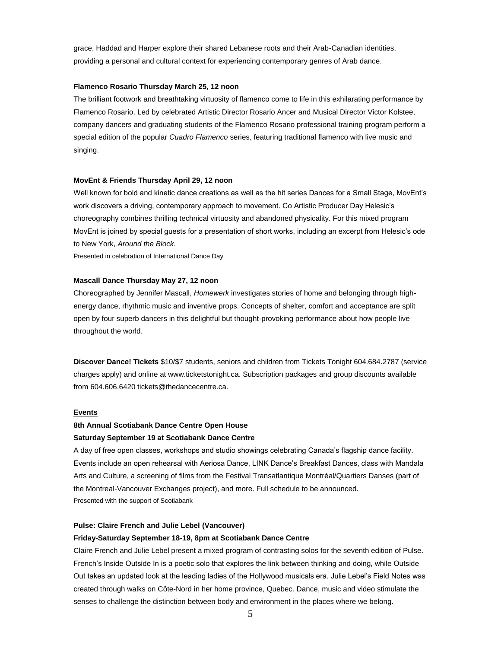grace, Haddad and Harper explore their shared Lebanese roots and their Arab-Canadian identities, providing a personal and cultural context for experiencing contemporary genres of Arab dance.

# **Flamenco Rosario Thursday March 25, 12 noon**

The brilliant footwork and breathtaking virtuosity of flamenco come to life in this exhilarating performance by Flamenco Rosario. Led by celebrated Artistic Director Rosario Ancer and Musical Director Victor Kolstee, company dancers and graduating students of the Flamenco Rosario professional training program perform a special edition of the popular *Cuadro Flamenco* series, featuring traditional flamenco with live music and singing.

# **MovEnt & Friends Thursday April 29, 12 noon**

Well known for bold and kinetic dance creations as well as the hit series Dances for a Small Stage, MovEnt's work discovers a driving, contemporary approach to movement. Co Artistic Producer Day Helesic's choreography combines thrilling technical virtuosity and abandoned physicality. For this mixed program MovEnt is joined by special guests for a presentation of short works, including an excerpt from Helesic's ode to New York, *Around the Block*.

Presented in celebration of International Dance Day

#### **Mascall Dance Thursday May 27, 12 noon**

Choreographed by Jennifer Mascall, *Homewerk* investigates stories of home and belonging through highenergy dance, rhythmic music and inventive props. Concepts of shelter, comfort and acceptance are split open by four superb dancers in this delightful but thought-provoking performance about how people live throughout the world.

**Discover Dance! Tickets** \$10/\$7 students, seniors and children from Tickets Tonight 604.684.2787 (service charges apply) and online at www.ticketstonight.ca. Subscription packages and group discounts available from 604.606.6420 tickets@thedancecentre.ca.

#### **Events**

# **8th Annual Scotiabank Dance Centre Open House Saturday September 19 at Scotiabank Dance Centre**

A day of free open classes, workshops and studio showings celebrating Canada's flagship dance facility. Events include an open rehearsal with Aeriosa Dance, LINK Dance's Breakfast Dances, class with Mandala Arts and Culture, a screening of films from the Festival Transatlantique Montréal/Quartiers Danses (part of the Montreal-Vancouver Exchanges project), and more. Full schedule to be announced. Presented with the support of Scotiabank

# **Pulse: Claire French and Julie Lebel (Vancouver)**

# **Friday-Saturday September 18-19, 8pm at Scotiabank Dance Centre**

Claire French and Julie Lebel present a mixed program of contrasting solos for the seventh edition of Pulse. French's Inside Outside In is a poetic solo that explores the link between thinking and doing, while Outside Out takes an updated look at the leading ladies of the Hollywood musicals era. Julie Lebel's Field Notes was created through walks on Côte-Nord in her home province, Quebec. Dance, music and video stimulate the senses to challenge the distinction between body and environment in the places where we belong.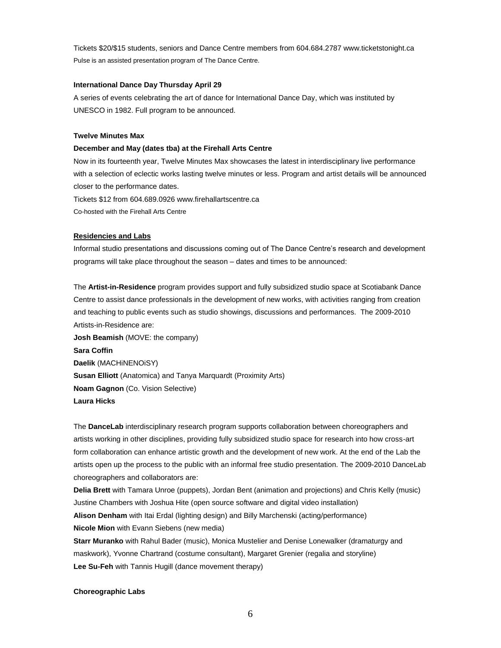Tickets \$20/\$15 students, seniors and Dance Centre members from 604.684.2787 www.ticketstonight.ca Pulse is an assisted presentation program of The Dance Centre.

# **International Dance Day Thursday April 29**

A series of events celebrating the art of dance for International Dance Day, which was instituted by UNESCO in 1982. Full program to be announced.

## **Twelve Minutes Max**

#### **December and May (dates tba) at the Firehall Arts Centre**

Now in its fourteenth year, Twelve Minutes Max showcases the latest in interdisciplinary live performance with a selection of eclectic works lasting twelve minutes or less. Program and artist details will be announced closer to the performance dates.

Tickets \$12 from 604.689.0926 www.firehallartscentre.ca Co-hosted with the Firehall Arts Centre

## **Residencies and Labs**

Informal studio presentations and discussions coming out of The Dance Centre's research and development programs will take place throughout the season – dates and times to be announced:

The **Artist-in-Residence** program provides support and fully subsidized studio space at Scotiabank Dance Centre to assist dance professionals in the development of new works, with activities ranging from creation and teaching to public events such as studio showings, discussions and performances. The 2009-2010 Artists-in-Residence are: **Josh Beamish** (MOVE: the company)

**Sara Coffin Daelik** (MACHiNENOiSY) **Susan Elliott** (Anatomica) and Tanya Marquardt (Proximity Arts) **Noam Gagnon** (Co. Vision Selective) **Laura Hicks**

The **DanceLab** interdisciplinary research program supports collaboration between choreographers and artists working in other disciplines, providing fully subsidized studio space for research into how cross-art form collaboration can enhance artistic growth and the development of new work. At the end of the Lab the artists open up the process to the public with an informal free studio presentation. The 2009-2010 DanceLab choreographers and collaborators are:

**Delia Brett** with Tamara Unroe (puppets), Jordan Bent (animation and projections) and Chris Kelly (music) Justine Chambers with Joshua Hite (open source software and digital video installation) **Alison Denham** with Itai Erdal (lighting design) and Billy Marchenski (acting/performance) **Nicole Mion** with Evann Siebens (new media)

**Starr Muranko** with Rahul Bader (music), Monica Mustelier and Denise Lonewalker (dramaturgy and maskwork), Yvonne Chartrand (costume consultant), Margaret Grenier (regalia and storyline) **Lee Su-Feh** with Tannis Hugill (dance movement therapy)

## **Choreographic Labs**